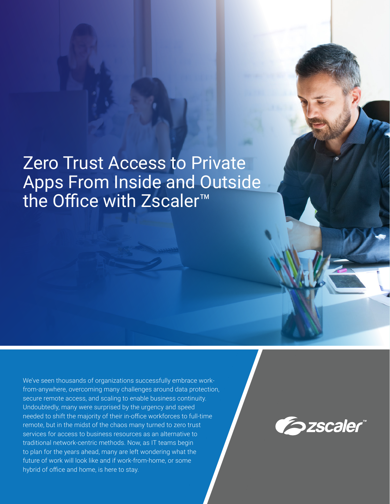# Zero Trust Access to Private Apps From Inside and Outside the Office with Zscaler™

We've seen thousands of organizations successfully embrace workfrom-anywhere, overcoming many challenges around data protection, secure remote access, and scaling to enable business continuity. Undoubtedly, many were surprised by the urgency and speed needed to shift the majority of their in-office workforces to full-time remote, but in the midst of the chaos many turned to zero trust services for access to business resources as an alternative to traditional network-centric methods. Now, as IT teams begin to plan for the years ahead, many are left wondering what the future of work will look like and if work-from-home, or some hybrid of office and home, is here to stay.

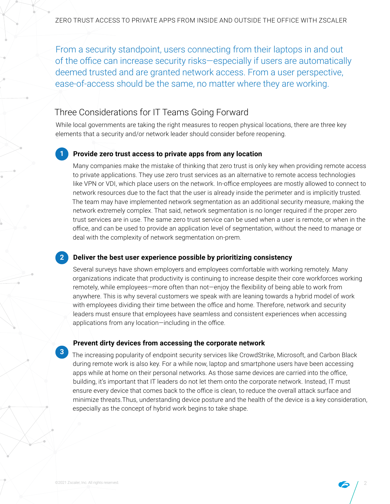From a security standpoint, users connecting from their laptops in and out of the office can increase security risks—especially if users are automatically deemed trusted and are granted network access. From a user perspective, ease-of-access should be the same, no matter where they are working.

### Three Considerations for IT Teams Going Forward

While local governments are taking the right measures to reopen physical locations, there are three key elements that a security and/or network leader should consider before reopening.

#### **Provide zero trust access to private apps from any location 1**

Many companies make the mistake of thinking that zero trust is only key when providing remote access to private applications. They use zero trust services as an alternative to remote access technologies like VPN or VDI, which place users on the network. In-office employees are mostly allowed to connect to network resources due to the fact that the user is already inside the perimeter and is implicitly trusted. The team may have implemented network segmentation as an additional security measure, making the network extremely complex. That said, network segmentation is no longer required if the proper zero trust services are in use. The same zero trust service can be used when a user is remote, or when in the office, and can be used to provide an application level of segmentation, without the need to manage or deal with the complexity of network segmentation on-prem.

### **Deliver the best user experience possible by prioritizing consistency**

Several surveys have shown employers and employees comfortable with working remotely. Many organizations indicate that productivity is continuing to increase despite their core workforces working remotely, while employees—more often than not—enjoy the flexibility of being able to work from anywhere. This is why several customers we speak with are leaning towards a hybrid model of work with employees dividing their time between the office and home. Therefore, network and security leaders must ensure that employees have seamless and consistent experiences when accessing applications from any location—including in the office.

#### **Prevent dirty devices from accessing the corporate network**

The increasing popularity of endpoint security services like CrowdStrike, Microsoft, and Carbon Black during remote work is also key. For a while now, laptop and smartphone users have been accessing apps while at home on their personal networks. As those same devices are carried into the office, building, it's important that IT leaders do not let them onto the corporate network. Instead, IT must ensure every device that comes back to the office is clean, to reduce the overall attack surface and minimize threats.Thus, understanding device posture and the health of the device is a key consideration, especially as the concept of hybrid work begins to take shape.

**2**

**3**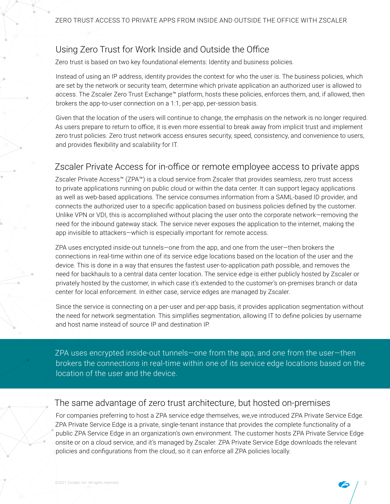### Using Zero Trust for Work Inside and Outside the Office

Zero trust is based on two key foundational elements: Identity and business policies.

Instead of using an IP address, identity provides the context for who the user is. The business policies, which are set by the network or security team, determine which private application an authorized user is allowed to access. The Zscaler Zero Trust Exchange™ platform, hosts these policies, enforces them, and, if allowed, then brokers the app-to-user connection on a 1:1, per-app, per-session basis.

Given that the location of the users will continue to change, the emphasis on the network is no longer required. As users prepare to return to office, it is even more essential to break away from implicit trust and implement zero trust policies. Zero trust network access ensures security, speed, consistency, and convenience to users, and provides flexibility and scalability for IT.

### Zscaler Private Access for in-office or remote employee access to private apps

Zscaler Private Access™ (ZPA™) is a cloud service from Zscaler that provides seamless, zero trust access to private applications running on public cloud or within the data center. It can support legacy applications as well as web-based applications. The service consumes information from a SAML-based ID provider, and connects the authorized user to a specific application based on business policies defined by the customer. Unlike VPN or VDI, this is accomplished without placing the user onto the corporate network—removing the need for the inbound gateway stack. The service never exposes the application to the internet, making the app invisible to attackers—which is especially important for remote access.

ZPA uses encrypted inside-out tunnels—one from the app, and one from the user—then brokers the connections in real-time within one of its service edge locations based on the location of the user and the device. This is done in a way that ensures the fastest user-to-application path possible, and removes the need for backhauls to a central data center location. The service edge is either publicly hosted by Zscaler or privately hosted by the customer, in which case it's extended to the customer's on-premises branch or data center for local enforcement. In either case, service edges are managed by Zscaler.

Since the service is connecting on a per-user and per-app basis, it provides application segmentation without the need for network segmentation. This simplifies segmentation, allowing IT to define policies by username and host name instead of source IP and destination IP.

ZPA uses encrypted inside-out tunnels—one from the app, and one from the user—then brokers the connections in real-time within one of its service edge locations based on the location of the user and the device.

### The same advantage of zero trust architecture, but hosted on-premises

For companies preferring to host a ZPA service edge themselves, we,ve introduced ZPA Private Service Edge. ZPA Private Service Edge is a private, single-tenant instance that provides the complete functionality of a public ZPA Service Edge in an organization's own environment. The customer hosts ZPA Private Service Edge onsite or on a cloud service, and it's managed by Zscaler. ZPA Private Service Edge downloads the relevant policies and configurations from the cloud, so it can enforce all ZPA policies locally.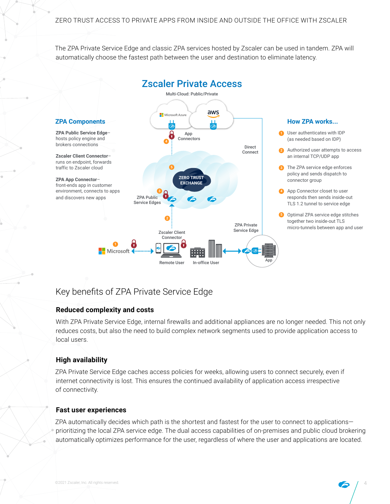The ZPA Private Service Edge and classic ZPA services hosted by Zscaler can be used in tandem. ZPA will automatically choose the fastest path between the user and destination to eliminate latency.



## Key benefits of ZPA Private Service Edge

### **Reduced complexity and costs**

With ZPA Private Service Edge, internal firewalls and additional appliances are no longer needed. This not only reduces costs, but also the need to build complex network segments used to provide application access to local users.

### **High availability**

ZPA Private Service Edge caches access policies for weeks, allowing users to connect securely, even if internet connectivity is lost. This ensures the continued availability of application access irrespective of connectivity.

### **Fast user experiences**

ZPA automatically decides which path is the shortest and fastest for the user to connect to applications prioritizing the local ZPA service edge. The dual access capabilities of on-premises and public cloud brokering automatically optimizes performance for the user, regardless of where the user and applications are located.